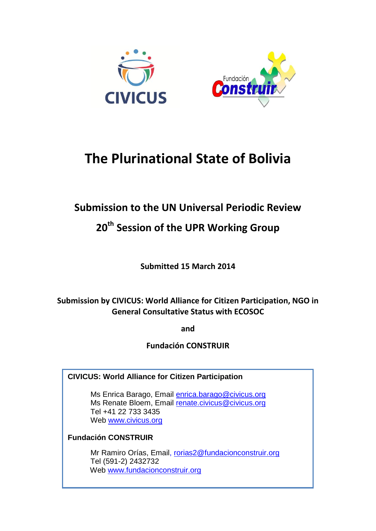

# **The Plurinational State of Bolivia**

# **Submission to the UN Universal Periodic Review**

# **20th Session of the UPR Working Group**

**Submitted 15 March 2014**

# **Submission by CIVICUS: World Alliance for Citizen Participation, NGO in General Consultative Status with ECOSOC**

**and**

**Fundación CONSTRUIR**

**CIVICUS: World Alliance for Citizen Participation**

Ms Enrica Barago, Email [enrica.barago@civicus.org](mailto:enrica.barago@civicus.org) Ms Renate Bloem, Email [renate.civicus@civicus.org](mailto:renate.civicus@civicus.org) Tel +41 22 733 3435 Web [www.civicus.org](http://www.civicus.org/)

# **Fundación CONSTRUIR**

Mr Ramiro Orías, Email, [rorias2@fundacionconstruir.org](mailto:rorias2@fundacionconstruir.org) Tel (591-2) 2432732 Web [www.fundacionconstruir.org](http://www.fundacionconstruir.org/)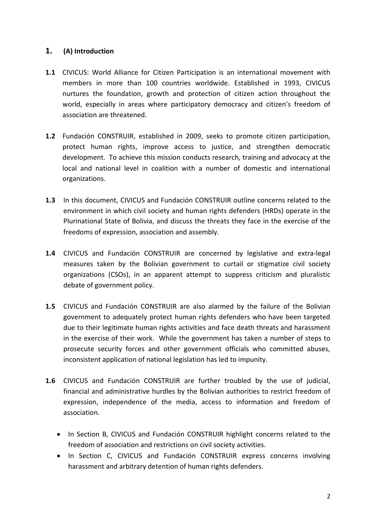#### **1. (A) Introduction**

- **1.1** CIVICUS: World Alliance for Citizen Participation is an international movement with members in more than 100 countries worldwide. Established in 1993, CIVICUS nurtures the foundation, growth and protection of citizen action throughout the world, especially in areas where participatory democracy and citizen's freedom of association are threatened.
- **1.2** Fundación CONSTRUIR, established in 2009, seeks to promote citizen participation, protect human rights, improve access to justice, and strengthen democratic development. To achieve this mission conducts research, training and advocacy at the local and national level in coalition with a number of domestic and international organizations.
- **1.3** In this document, CIVICUS and Fundación CONSTRUIR outline concerns related to the environment in which civil society and human rights defenders (HRDs) operate in the Plurinational State of Bolivia, and discuss the threats they face in the exercise of the freedoms of expression, association and assembly.
- **1.4** CIVICUS and Fundación CONSTRUIR are concerned by legislative and extra-legal measures taken by the Bolivian government to curtail or stigmatize civil society organizations (CSOs), in an apparent attempt to suppress criticism and pluralistic debate of government policy.
- **1.5** CIVICUS and Fundación CONSTRUIR are also alarmed by the failure of the Bolivian government to adequately protect human rights defenders who have been targeted due to their legitimate human rights activities and face death threats and harassment in the exercise of their work. While the government has taken a number of steps to prosecute security forces and other government officials who committed abuses, inconsistent application of national legislation has led to impunity.
- **1.6** CIVICUS and Fundación CONSTRUIR are further troubled by the use of judicial, financial and administrative hurdles by the Bolivian authorities to restrict freedom of expression, independence of the media, access to information and freedom of association.
	- In Section B, CIVICUS and Fundación CONSTRUIR highlight concerns related to the freedom of association and restrictions on civil society activities.
	- In Section C, CIVICUS and Fundación CONSTRUIR express concerns involving harassment and arbitrary detention of human rights defenders.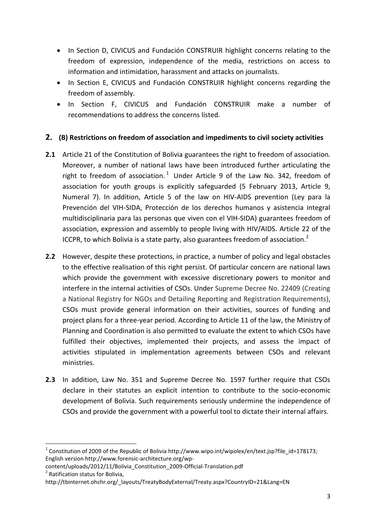- In Section D, CIVICUS and Fundación CONSTRUIR highlight concerns relating to the freedom of expression, independence of the media, restrictions on access to information and intimidation, harassment and attacks on journalists.
- In Section E, CIVICUS and Fundación CONSTRUIR highlight concerns regarding the freedom of assembly.
- In Section F, CIVICUS and Fundación CONSTRUIR make a number of recommendations to address the concerns listed.

## **2. (B) Restrictions on freedom of association and impediments to civil society activities**

- **2.1** Article 21 of the Constitution of Bolivia guarantees the right to freedom of association. Moreover, a number of national laws have been introduced further articulating the right to freedom of association.<sup>1</sup> Under Article 9 of the Law No. 342, freedom of association for youth groups is explicitly safeguarded (5 February 2013, Article 9, Numeral 7). In addition, Article 5 of the law on HIV-AIDS prevention (Ley para la Prevención del VIH-SIDA, Protección de los derechos humanos y asistencia integral multidisciplinaria para las personas que viven con el VIH-SIDA) guarantees freedom of association, expression and assembly to people living with HIV/AIDS. Article 22 of the ICCPR, to which Bolivia is a state party, also guarantees freedom of association.<sup>2</sup>
- **2.2** However, despite these protections, in practice, a number of policy and legal obstacles to the effective realisation of this right persist. Of particular concern are national laws which provide the government with excessive discretionary powers to monitor and interfere in the internal activities of CSOs. Under Supreme Decree No. 22409 (Creating a National Registry for NGOs and Detailing Reporting and Registration Requirements), CSOs must provide general information on their activities, sources of funding and project plans for a three-year period. According to Article 11 of the law, the Ministry of Planning and Coordination is also permitted to evaluate the extent to which CSOs have fulfilled their objectives, implemented their projects, and assess the impact of activities stipulated in implementation agreements between CSOs and relevant ministries.
- **2.3** In addition, Law No. 351 and Supreme Decree No. 1597 further require that CSOs declare in their statutes an explicit intention to contribute to the socio-economic development of Bolivia. Such requirements seriously undermine the independence of CSOs and provide the government with a powerful tool to dictate their internal affairs.

1

<sup>&</sup>lt;sup>1</sup> Constitution of 2009 of the Republic of Bolivi[a http://www.wipo.int/wipolex/en/text.jsp?file\\_id=178173;](http://www.wipo.int/wipolex/en/text.jsp?file_id=178173) English version [http://www.forensic-architecture.org/wp-](http://www.forensic-architecture.org/wp-content/uploads/2012/11/Bolivia_Constitution_2009-Official-Translation.pdf)

[content/uploads/2012/11/Bolivia\\_Constitution\\_2009-Official-Translation.pdf](http://www.forensic-architecture.org/wp-content/uploads/2012/11/Bolivia_Constitution_2009-Official-Translation.pdf) <sup>2</sup> Ratification status for Bolivia,

[http://tbinternet.ohchr.org/\\_layouts/TreatyBodyExternal/Treaty.aspx?CountryID=21&Lang=EN](http://tbinternet.ohchr.org/_layouts/TreatyBodyExternal/Treaty.aspx?CountryID=21&Lang=EN)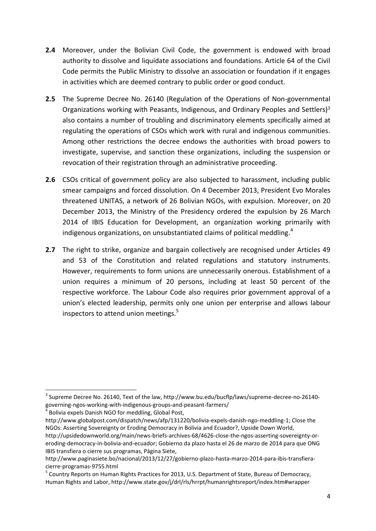- **2.4** Moreover, under the Bolivian Civil Code, the government is endowed with broad authority to dissolve and liquidate associations and foundations. Article 64 of the Civil Code permits the Public Ministry to dissolve an association or foundation if it engages in activities which are deemed contrary to public order or good conduct.
- **2.5** The Supreme Decree No. 26140 (Regulation of the Operations of Non-governmental Organizations working with Peasants, Indigenous, and Ordinary Peoples and Settlers) $3$ also contains a number of troubling and discriminatory elements specifically aimed at regulating the operations of CSOs which work with rural and indigenous communities. Among other restrictions the decree endows the authorities with broad powers to investigate, supervise, and sanction these organizations, including the suspension or revocation of their registration through an administrative proceeding.
- **2.6** CSOs critical of government policy are also subjected to harassment, including public smear campaigns and forced dissolution. On 4 December 2013, President Evo Morales threatened UNITAS, a network of 26 Bolivian NGOs, with expulsion. Moreover, on 20 December 2013, the Ministry of the Presidency ordered the expulsion by 26 March 2014 of IBIS Education for Development, an organization working primarily with indigenous organizations, on unsubstantiated claims of political meddling.<sup>4</sup>
- **2.7** The right to strike, organize and bargain collectively are recognised under Articles 49 and 53 of the Constitution and related regulations and statutory instruments. However, requirements to form unions are unnecessarily onerous. Establishment of a union requires a minimum of 20 persons, including at least 50 percent of the respective workforce. The Labour Code also requires prior government approval of a union's elected leadership, permits only one union per enterprise and allows labour inspectors to attend union meetings.<sup>5</sup>

.

 $3$  Supreme Decree No. 26140, Text of the law, http://www.bu.edu/bucflp/laws/supreme-decree-no-26140governing-ngos-working-with-indigenous-groups-and-peasant-farmers/

<sup>4</sup> Bolivia expels Danish NGO for meddling, Global Post,

[http://www.globalpost.com/dispatch/news/afp/131220/bolivia-expels-danish-ngo-meddling-1;](http://www.globalpost.com/dispatch/news/afp/131220/bolivia-expels-danish-ngo-meddling-1) Close the NGOs: Asserting Sovereignty or Eroding Democracy in Bolivia and Ecuador?, Upside Down World,

[http://upsidedownworld.org/main/news-briefs-archives-68/4626-close-the-ngos-asserting-sovereignty-or](http://upsidedownworld.org/main/news-briefs-archives-68/4626-close-the-ngos-asserting-sovereignty-or-eroding-democracy-in-bolivia-and-ecuador)[eroding-democracy-in-bolivia-and-ecuador;](http://upsidedownworld.org/main/news-briefs-archives-68/4626-close-the-ngos-asserting-sovereignty-or-eroding-democracy-in-bolivia-and-ecuador) Gobierno da plazo hasta el 26 de marzo de 2014 para que ONG IBIS transfiera o cierre sus programas, Pàgina Siete,

http://www.paginasiete.bo/nacional/2013/12/27/gobierno-plazo-hasta-marzo-2014-para-ibis-transfieracierre-programas-9755.html

<sup>&</sup>lt;sup>5</sup> Country Reports on Human Rights Practices for 2013, U.S. Department of State, Bureau of Democracy, [Human Rights and Labor,](http://www.state.gov/j/drl/)<http://www.state.gov/j/drl/rls/hrrpt/humanrightsreport/index.htm#wrapper>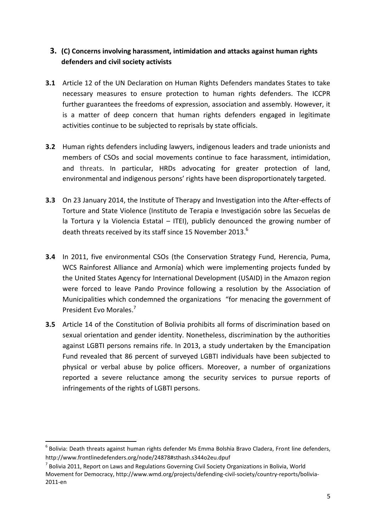# **3. (C) Concerns involving harassment, intimidation and attacks against human rights defenders and civil society activists**

- **3.1** Article 12 of the UN Declaration on Human Rights Defenders mandates States to take necessary measures to ensure protection to human rights defenders. The ICCPR further guarantees the freedoms of expression, association and assembly. However, it is a matter of deep concern that human rights defenders engaged in legitimate activities continue to be subjected to reprisals by state officials.
- **3.2** Human rights defenders including lawyers, indigenous leaders and trade unionists and members of CSOs and social movements continue to face harassment, intimidation, and threats. In particular, HRDs advocating for greater protection of land, environmental and indigenous persons' rights have been disproportionately targeted.
- **3.3** On 23 January 2014, the Institute of Therapy and Investigation into the After-effects of Torture and State Violence (Instituto de Terapia e Investigación sobre las Secuelas de la Tortura y la Violencia Estatal – ITEI), publicly denounced the growing number of death threats received by its staff since 15 November 2013.<sup>6</sup>
- **3.4** In 2011, five environmental CSOs (the Conservation Strategy Fund, Herencia, Puma, WCS Rainforest Alliance and Armonía) which were implementing projects funded by the United States Agency for International Development (USAID) in the Amazon region were forced to leave Pando Province following a resolution by the Association of Municipalities which condemned the organizations "for menacing the government of President Evo Morales. 7
- **3.5** Article 14 of the Constitution of Bolivia prohibits all forms of discrimination based on sexual orientation and gender identity. Nonetheless, discrimination by the authorities against LGBTI persons remains rife. In 2013, a study undertaken by the Emancipation Fund revealed that 86 percent of surveyed LGBTI individuals have been subjected to physical or verbal abuse by police officers. Moreover, a number of organizations reported a severe reluctance among the security services to pursue reports of infringements of the rights of LGBTI persons.

.

<sup>&</sup>lt;sup>6</sup> Bolivia: Death threats against human rights defender Ms Emma Bolshia Bravo Cladera, Front line defenders, <http://www.frontlinedefenders.org/node/24878#sthash.s344o2eu.dpuf>

 $^7$  Bolivia 2011, Report on Laws and Regulations Governing Civil Society Organizations in Bolivia, World Movement for Democracy[, http://www.wmd.org/projects/defending-civil-society/country-reports/bolivia-](http://www.wmd.org/projects/defending-civil-society/country-reports/bolivia-2011-en)[2011-en](http://www.wmd.org/projects/defending-civil-society/country-reports/bolivia-2011-en)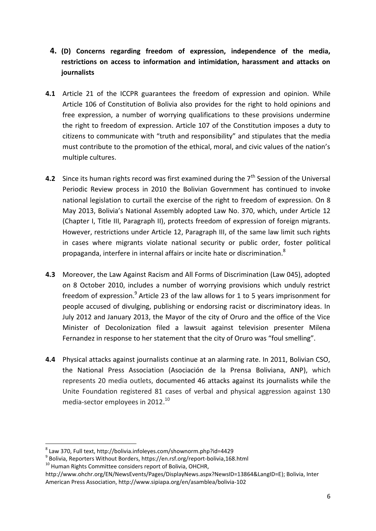- **4. (D) Concerns regarding freedom of expression, independence of the media, restrictions on access to information and intimidation, harassment and attacks on journalists**
- **4.1** Article 21 of the ICCPR guarantees the freedom of expression and opinion. While Article 106 of Constitution of Bolivia also provides for the right to hold opinions and free expression, a number of worrying qualifications to these provisions undermine the right to freedom of expression. Article 107 of the Constitution imposes a duty to citizens to communicate with "truth and responsibility" and stipulates that the media must contribute to the promotion of the ethical, moral, and civic values of the nation's multiple cultures.
- **4.2** Since its human rights record was first examined during the 7<sup>th</sup> Session of the Universal Periodic Review process in 2010 the Bolivian Government has continued to invoke national legislation to curtail the exercise of the right to freedom of expression. On 8 May 2013, Bolivia's National Assembly adopted Law No. 370, which, under Article 12 (Chapter I, Title III, Paragraph II), protects freedom of expression of foreign migrants. However, restrictions under Article 12, Paragraph III, of the same law limit such rights in cases where migrants violate national security or public order, foster political propaganda, interfere in internal affairs or incite hate or discrimination.<sup>8</sup>
- **4.3** Moreover, the Law Against Racism and All Forms of Discrimination (Law 045), adopted on 8 October 2010, includes a number of worrying provisions which unduly restrict freedom of expression.<sup>9</sup> Article 23 of the law allows for 1 to 5 years imprisonment for people accused of divulging, publishing or endorsing racist or discriminatory ideas. In July 2012 and January 2013, the Mayor of the city of Oruro and the office of the Vice Minister of Decolonization filed a lawsuit against television presenter Milena Fernandez in response to her statement that the city of Oruro was "foul smelling".
- **4.4** Physical attacks against journalists continue at an alarming rate. In 2011, Bolivian CSO, the National Press Association (Asociación de la Prensa Boliviana, ANP), which represents 20 media outlets, documented 46 attacks against its journalists while the Unite Foundation registered 81 cases of verbal and physical aggression against 130 media-sector employees in 2012. 10

1

<sup>8</sup> Law 370, Full text, http://bolivia.infoleyes.com/shownorm.php?id=4429

<sup>&</sup>lt;sup>9</sup> Bolivia, Reporters Without Borders,<https://en.rsf.org/report-bolivia,168.html>

<sup>&</sup>lt;sup>10</sup> Human Rights Committee considers report of Bolivia, OHCHR,

[http://www.ohchr.org/EN/NewsEvents/Pages/DisplayNews.aspx?NewsID=13864&LangID=E\)](http://www.ohchr.org/EN/NewsEvents/Pages/DisplayNews.aspx?NewsID=13864&LangID=E); Bolivia, Inter American Press Association,<http://www.sipiapa.org/en/asamblea/bolivia-102>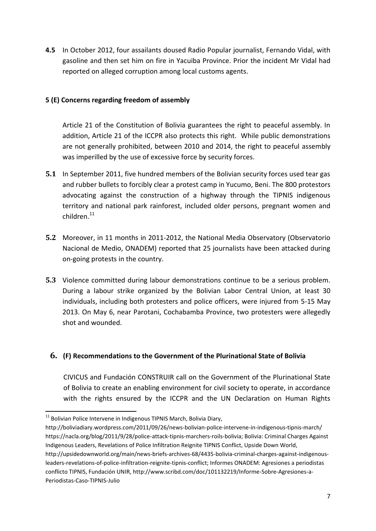**4.5** In October 2012, four assailants doused Radio Popular journalist, Fernando Vidal, with gasoline and then set him on fire in Yacuiba Province. Prior the incident Mr Vidal had reported on alleged corruption among local customs agents.

#### **5 (E) Concerns regarding freedom of assembly**

Article 21 of the Constitution of Bolivia guarantees the right to peaceful assembly. In addition, Article 21 of the ICCPR also protects this right. While public demonstrations are not generally prohibited, between 2010 and 2014, the right to peaceful assembly was imperilled by the use of excessive force by security forces.

- **5.1** In September 2011, five hundred members of the Bolivian security forces used tear gas and rubber bullets to forcibly clear a protest camp in Yucumo, Beni. The 800 protestors advocating against the construction of a highway through the TIPNIS indigenous territory and national park rainforest, included older persons, pregnant women and  $children.<sup>11</sup>$
- **5.2** Moreover, in 11 months in 2011-2012, the National Media Observatory (Observatorio Nacional de Medio, ONADEM) reported that 25 journalists have been attacked during on-going protests in the country.
- **5.3** Violence committed during labour demonstrations continue to be a serious problem. During a labour strike organized by the Bolivian Labor Central Union, at least 30 individuals, including both protesters and police officers, were injured from 5-15 May 2013. On May 6, near Parotani, Cochabamba Province, two protesters were allegedly shot and wounded.

## **6. (F) Recommendations to the Government of the Plurinational State of Bolivia**

CIVICUS and Fundación CONSTRUIR call on the Government of the Plurinational State of Bolivia to create an enabling environment for civil society to operate, in accordance with the rights ensured by the ICCPR and the UN Declaration on Human Rights

<sup>.</sup>  $11$  Bolivian Police Intervene in Indigenous TIPNIS March, Bolivia Diary,

<http://boliviadiary.wordpress.com/2011/09/26/news-bolivian-police-intervene-in-indigenous-tipnis-march/> [https://nacla.org/blog/2011/9/28/police-attack-tipnis-marchers-roils-bolivia;](https://nacla.org/blog/2011/9/28/police-attack-tipnis-marchers-roils-bolivia) Bolivia: Criminal Charges Against Indigenous Leaders, Revelations of Police Infiltration Reignite TIPNIS Conflict, Upside Down World, [http://upsidedownworld.org/main/news-briefs-archives-68/4435-bolivia-criminal-charges-against-indigenous](http://upsidedownworld.org/main/news-briefs-archives-68/4435-bolivia-criminal-charges-against-indigenous-leaders-revelations-of-police-infiltration-reignite-tipnis-conflict)[leaders-revelations-of-police-infiltration-reignite-tipnis-conflict;](http://upsidedownworld.org/main/news-briefs-archives-68/4435-bolivia-criminal-charges-against-indigenous-leaders-revelations-of-police-infiltration-reignite-tipnis-conflict) Informes ONADEM: Agresiones a periodistas conflicto TIPNIS, Fundación UNIR, [http://www.scribd.com/doc/101132219/Informe-Sobre-Agresiones-a-](http://www.scribd.com/doc/101132219/Informe-Sobre-Agresiones-a-Periodistas-Caso-TIPNIS-Julio)[Periodistas-Caso-TIPNIS-Julio](http://www.scribd.com/doc/101132219/Informe-Sobre-Agresiones-a-Periodistas-Caso-TIPNIS-Julio)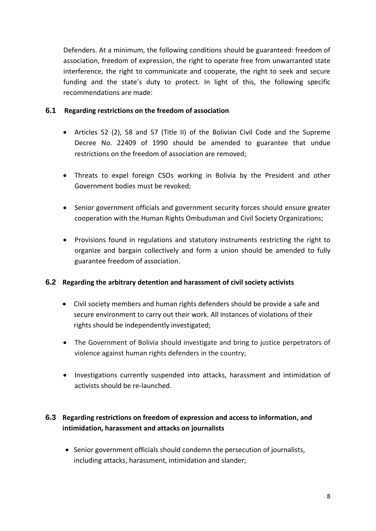Defenders. At a minimum, the following conditions should be guaranteed: freedom of association, freedom of expression, the right to operate free from unwarranted state interference, the right to communicate and cooperate, the right to seek and secure funding and the state's duty to protect. In light of this, the following specific recommendations are made:

#### **6.1 Regarding restrictions on the freedom of association**

- Articles 52 (2), 58 and 57 (Title II) of the Bolivian Civil Code and the Supreme Decree No. 22409 of 1990 should be amended to guarantee that undue restrictions on the freedom of association are removed;
- Threats to expel foreign CSOs working in Bolivia by the President and other Government bodies must be revoked;
- Senior government officials and government security forces should ensure greater cooperation with the Human Rights Ombudsman and Civil Society Organizations;
- Provisions found in regulations and statutory instruments restricting the right to organize and bargain collectively and form a union should be amended to fully guarantee freedom of association.

## **6.2 Regarding the arbitrary detention and harassment of civil society activists**

- Civil society members and human rights defenders should be provide a safe and secure environment to carry out their work. All instances of violations of their rights should be independently investigated;
- The Government of Bolivia should investigate and bring to justice perpetrators of violence against human rights defenders in the country;
- Investigations currently suspended into attacks, harassment and intimidation of activists should be re-launched.

# **6.3 Regarding restrictions on freedom of expression and access to information, and intimidation, harassment and attacks on journalists**

• Senior government officials should condemn the persecution of journalists, including attacks, harassment, intimidation and slander;